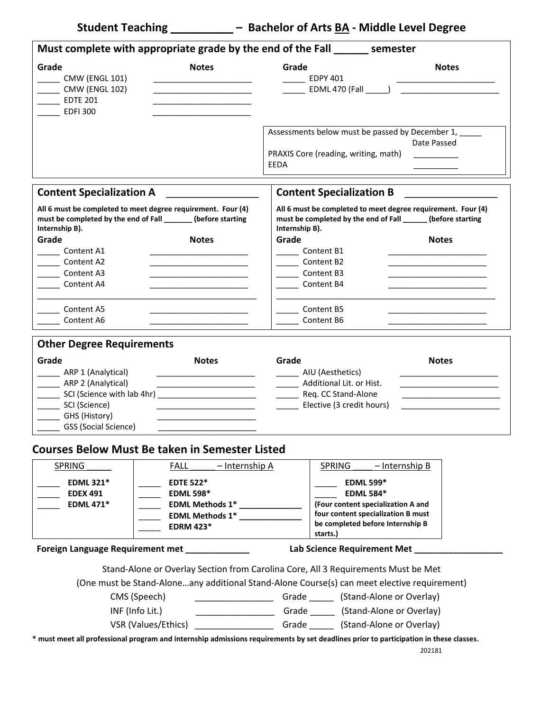**Student Teaching \_\_\_\_\_\_\_\_\_\_ – Bachelor of Arts BA ‐ Middle Level Degree**

| Grade<br><b>Notes</b><br><b>CMW (ENGL 101)</b><br><b>CMW (ENGL 102)</b><br>$\rule{1em}{0.15mm}$ EDTE 201<br><u> 1980 - Johann Barbara, martin amerikan basar dan bagi dan bagi dalam basar dalam bagi dalam bagi dalam bagi da</u><br><b>EDFI300</b>                                                                                                                            | Grade<br><b>Notes</b><br><b>EDPY 401</b><br>Assessments below must be passed by December 1, _____<br>Date Passed<br>PRAXIS Core (reading, writing, math)<br>EEDA                                                                                                                                                                       |
|---------------------------------------------------------------------------------------------------------------------------------------------------------------------------------------------------------------------------------------------------------------------------------------------------------------------------------------------------------------------------------|----------------------------------------------------------------------------------------------------------------------------------------------------------------------------------------------------------------------------------------------------------------------------------------------------------------------------------------|
|                                                                                                                                                                                                                                                                                                                                                                                 |                                                                                                                                                                                                                                                                                                                                        |
|                                                                                                                                                                                                                                                                                                                                                                                 |                                                                                                                                                                                                                                                                                                                                        |
| <b>Content Specialization A</b>                                                                                                                                                                                                                                                                                                                                                 | <b>Content Specialization B</b>                                                                                                                                                                                                                                                                                                        |
| All 6 must be completed to meet degree requirement. Four (4)<br>must be completed by the end of Fall _______ (before starting<br>Internship B).<br>Grade<br><b>Notes</b><br>Content A1<br>Content A2<br>Content A3<br>Content A4<br>Content A5<br>Content A6                                                                                                                    | All 6 must be completed to meet degree requirement. Four (4)<br>must be completed by the end of Fall ______ (before starting<br>Internship B).<br>Grade<br><b>Notes</b><br><b>Content B1</b><br>_____ Content B2<br>Content B3<br>Content B4<br>Content B5<br>Content B6                                                               |
| <b>Other Degree Requirements</b><br>Grade<br><b>Notes</b><br>ARP 1 (Analytical)<br><u> 1989 - Johann Barbara, martin amerikan basar dan bagian dalam basar dalam basar dalam basar dalam basar dalam</u><br>____ ARP 2 (Analytical)<br>________ SCI (Science with lab 4hr) _______________________________<br>__________ SCI (Science)<br>GHS (History)<br>GSS (Social Science) | Grade<br><b>Notes</b><br>AIU (Aesthetics)<br><u> 1989 - Johann Barbara, martin a</u><br>Additional Lit. or Hist.<br>________ Req. CC Stand-Alone<br>Elective (3 credit hours)                                                                                                                                                          |
| <b>Courses Below Must Be taken in Semester Listed</b>                                                                                                                                                                                                                                                                                                                           |                                                                                                                                                                                                                                                                                                                                        |
| SPRING<br><b>FALL</b><br>- Internship A<br><b>EDML 321*</b><br><b>EDTE 522*</b><br><b>EDEX 491</b><br><b>EDML 598*</b><br><b>EDML 471*</b><br>EDML Methods 1*<br>EDML Methods 1*<br><b>EDRM 423*</b>                                                                                                                                                                            | SPRING<br>- Internship B<br><b>EDML 599*</b><br><b>EDML 584*</b><br>(Four content specialization A and<br>four content specialization B must<br>be completed before Internship B<br>starts.)                                                                                                                                           |
| Foreign Language Requirement met ____________                                                                                                                                                                                                                                                                                                                                   | Lab Science Requirement Met __                                                                                                                                                                                                                                                                                                         |
| CMS (Speech)<br>INF (Info Lit.)<br>* must meet all professional program and internship admissions requirements by set deadlines prior to participation in these classes.                                                                                                                                                                                                        | Stand-Alone or Overlay Section from Carolina Core, All 3 Requirements Must be Met<br>(One must be Stand-Aloneany additional Stand-Alone Course(s) can meet elective requirement)<br>______________________Grade ________ (Stand-Alone or Overlay)<br>VSR (Values/Ethics) ______________________Grade ________ (Stand-Alone or Overlay) |